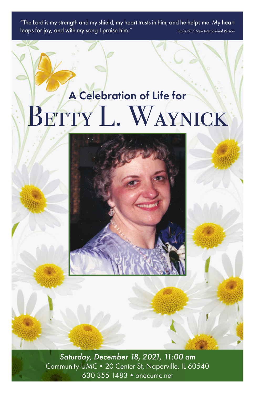"The Lord is my strength and my shield; my heart trusts in him, and he helps me. My heart leaps for joy, and with my song I praise him." *Psalm 28:7, New International Version*

# A Celebration of Life for BETTY L. WAYNICK



*Saturday, December 18, 2021, 11:00 am* Community UMC•20 Center St, Naperville, IL 60540 630 355 1483•onecumc.net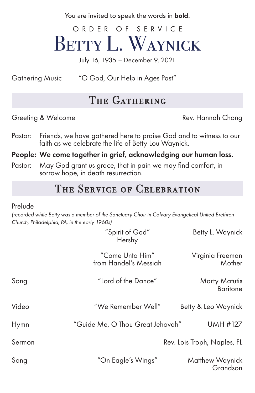You are invited to speak the words in **bold**.

ORDER OF SERVICE BETTY L. WAYNICK

July 16, 1935 – December 9, 2021

Gathering Music "O God, Our Help in Ages Past"

## THE GATHERING

Greeting & Welcome **Rev. Hannah Chong** 

Pastor: Friends, we have gathered here to praise God and to witness to our faith as we celebrate the life of Betty Lou Waynick.

### People: We come together in grief, acknowledging our human loss.

Pastor: May God grant us grace, that in pain we may find comfort, in sorrow hope, in death resurrection.

## THE SERVICE OF CELEBRATION

#### Prelude

*(recorded while Betty was a member of the Sanctuary Choir in Calvary Evangelical United Brethren Church, Philadelphia, PA, in the early 1960s)*

|        | "Spirit of God"<br>Hershy                | Betty L. Waynick                 |
|--------|------------------------------------------|----------------------------------|
|        | "Come Unto Him"<br>from Handel's Messiah | Virginia Freeman<br>Mother       |
| Song   | "Lord of the Dance"                      | Marty Matutis<br><b>Baritone</b> |
| Video  | "We Remember Well"                       | Betty & Leo Waynick              |
| Hymn   | "Guide Me, O Thou Great Jehovah"         | <b>UMH #127</b>                  |
| Sermon |                                          | Rev. Lois Troph, Naples, FL      |
| Song   | "On Eagle's Wings"                       | Matthew Waynick<br>Grandson      |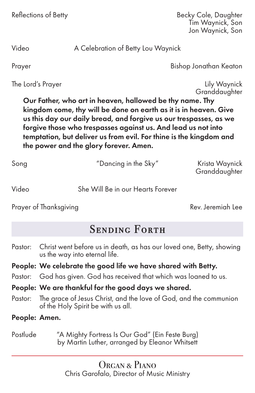| Reflections of Betty |  |  |  |
|----------------------|--|--|--|
|----------------------|--|--|--|

**Becky Cole, Daughter** Tim Waynick, Son Jon Waynick, Son

Video A Celebration of Betty Lou Waynick

Prayer Bishop Jonathan Keaton

The Lord's Prayer **Example 2** and the Lord's Prayer **Lily Waynick** 

**Granddaughter** 

Our Father, who art in heaven, hallowed be thy name. Thy kingdom come, thy will be done on earth as it is in heaven. Give us this day our daily bread, and forgive us our trespasses, as we forgive those who trespasses against us. And lead us not into temptation, but deliver us from evil. For thine is the kingdom and the power and the glory forever. Amen.

| Song | "Dancing in the Sky" | Krista Waynick<br>Granddaughter |
|------|----------------------|---------------------------------|
|      |                      |                                 |

Prayer of Thanksgiving **Rev. Jeremiah Lee** 

# SENDING FORTH

Pastor: Christ went before us in death, as has our loved one, Betty, showing us the way into eternal life.

## People: We celebrate the good life we have shared with Betty.

- Pastor: God has given. God has received that which was loaned to us.
- People: We are thankful for the good days we shared.

Video She Will Be in our Hearts Forever

- Pastor: The grace of Jesus Christ, and the love of God, and the communion of the Holy Spirit be with us all.
- People: Amen.
- Postlude "A Mighty Fortress Is Our God" (Ein Feste Burg) by Martin Luther, arranged by Eleanor Whitsett